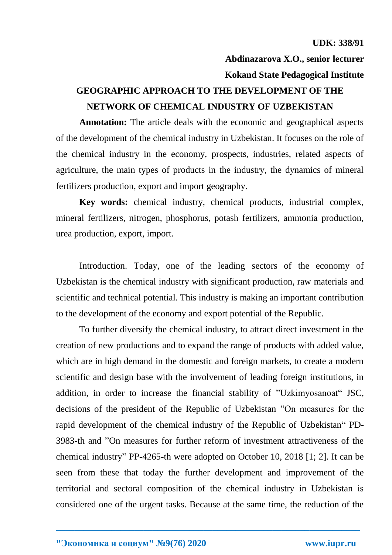**Abdinazarova X.O., senior lecturer Kokand State Pedagogical Institute**

## **GEOGRAPHIC APPROACH TO THE DEVELOPMENT OF THE NETWORK OF CHEMICAL INDUSTRY OF UZBEKISTAN**

**Annotation:** The article deals with the economic and geographical aspects of the development of the chemical industry in Uzbekistan. It focuses on the role of the chemical industry in the economy, prospects, industries, related aspects of agriculture, the main types of products in the industry, the dynamics of mineral fertilizers production, export and import geography.

**Key words:** chemical industry, chemical products, industrial complex, mineral fertilizers, nitrogen, phosphorus, potash fertilizers, ammonia production, urea production, export, import.

Introduction. Today, one of the leading sectors of the economy of Uzbekistan is the chemical industry with significant production, raw materials and scientific and technical potential. This industry is making an important contribution to the development of the economy and export potential of the Republic.

To further diversify the chemical industry, to attract direct investment in the creation of new productions and to expand the range of products with added value, which are in high demand in the domestic and foreign markets, to create a modern scientific and design base with the involvement of leading foreign institutions, in addition, in order to increase the financial stability of "Uzkimyosanoat" JSC, decisions of the president of the Republic of Uzbekistan "On measures for the rapid development of the chemical industry of the Republic of Uzbekistan" PD-3983-th and "On measures for further reform of investment attractiveness of the chemical industry" PP-4265-th were adopted on October 10, 2018 [1; 2]. It can be seen from these that today the further development and improvement of the territorial and sectoral composition of the chemical industry in Uzbekistan is considered one of the urgent tasks. Because at the same time, the reduction of the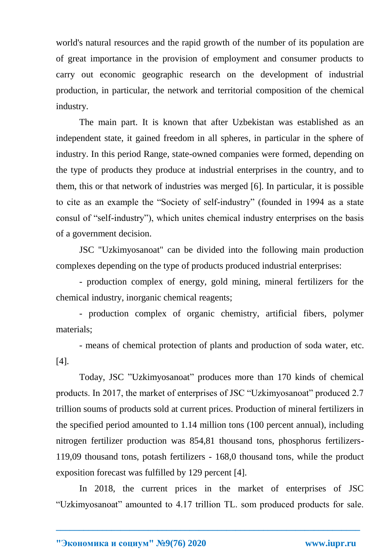world's natural resources and the rapid growth of the number of its population are of great importance in the provision of employment and consumer products to carry out economic geographic research on the development of industrial production, in particular, the network and territorial composition of the chemical industry.

The main part. It is known that after Uzbekistan was established as an independent state, it gained freedom in all spheres, in particular in the sphere of industry. In this period Range, state-owned companies were formed, depending on the type of products they produce at industrial enterprises in the country, and to them, this or that network of industries was merged [6]. In particular, it is possible to cite as an example the "Society of self-industry" (founded in 1994 as a state consul of "self-industry"), which unites chemical industry enterprises on the basis of a government decision.

JSC "Uzkimyosanoat" can be divided into the following main production complexes depending on the type of products produced industrial enterprises:

- production complex of energy, gold mining, mineral fertilizers for the chemical industry, inorganic chemical reagents;

- production complex of organic chemistry, artificial fibers, polymer materials;

- means of chemical protection of plants and production of soda water, etc. [4].

Today, JSC "Uzkimyosanoat" produces more than 170 kinds of chemical products. In 2017, the market of enterprises of JSC "Uzkimyosanoat" produced 2.7 trillion soums of products sold at current prices. Production of mineral fertilizers in the specified period amounted to 1.14 million tons (100 percent annual), including nitrogen fertilizer production was 854,81 thousand tons, phosphorus fertilizers-119,09 thousand tons, potash fertilizers - 168,0 thousand tons, while the product exposition forecast was fulfilled by 129 percent [4].

In 2018, the current prices in the market of enterprises of JSC "Uzkimyosanoat" amounted to 4.17 trillion TL. som produced products for sale.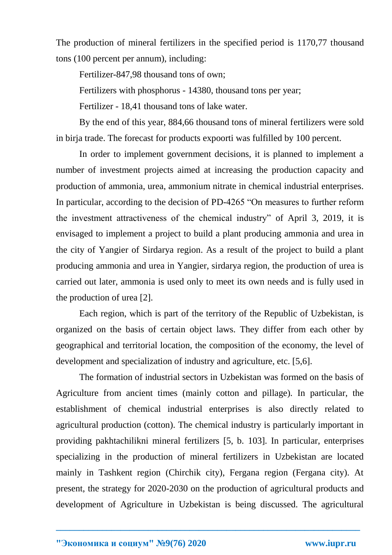The production of mineral fertilizers in the specified period is 1170,77 thousand tons (100 percent per annum), including:

Fertilizer-847,98 thousand tons of own;

Fertilizers with phosphorus - 14380, thousand tons per year;

Fertilizer - 18,41 thousand tons of lake water.

By the end of this year, 884,66 thousand tons of mineral fertilizers were sold in birja trade. The forecast for products expoorti was fulfilled by 100 percent.

In order to implement government decisions, it is planned to implement a number of investment projects aimed at increasing the production capacity and production of ammonia, urea, ammonium nitrate in chemical industrial enterprises. In particular, according to the decision of PD-4265 "On measures to further reform the investment attractiveness of the chemical industry" of April 3, 2019, it is envisaged to implement a project to build a plant producing ammonia and urea in the city of Yangier of Sirdarya region. As a result of the project to build a plant producing ammonia and urea in Yangier, sirdarya region, the production of urea is carried out later, ammonia is used only to meet its own needs and is fully used in the production of urea [2].

Each region, which is part of the territory of the Republic of Uzbekistan, is organized on the basis of certain object laws. They differ from each other by geographical and territorial location, the composition of the economy, the level of development and specialization of industry and agriculture, etc. [5,6].

The formation of industrial sectors in Uzbekistan was formed on the basis of Agriculture from ancient times (mainly cotton and pillage). In particular, the establishment of chemical industrial enterprises is also directly related to agricultural production (cotton). The chemical industry is particularly important in providing pakhtachilikni mineral fertilizers [5, b. 103]. In particular, enterprises specializing in the production of mineral fertilizers in Uzbekistan are located mainly in Tashkent region (Chirchik city), Fergana region (Fergana city). At present, the strategy for 2020-2030 on the production of agricultural products and development of Agriculture in Uzbekistan is being discussed. The agricultural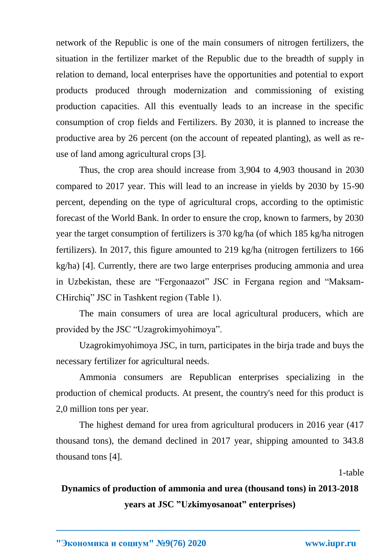network of the Republic is one of the main consumers of nitrogen fertilizers, the situation in the fertilizer market of the Republic due to the breadth of supply in relation to demand, local enterprises have the opportunities and potential to export products produced through modernization and commissioning of existing production capacities. All this eventually leads to an increase in the specific consumption of crop fields and Fertilizers. By 2030, it is planned to increase the productive area by 26 percent (on the account of repeated planting), as well as reuse of land among agricultural crops [3].

Thus, the crop area should increase from 3,904 to 4,903 thousand in 2030 compared to 2017 year. This will lead to an increase in yields by 2030 by 15-90 percent, depending on the type of agricultural crops, according to the optimistic forecast of the World Bank. In order to ensure the crop, known to farmers, by 2030 year the target consumption of fertilizers is 370 kg/ha (of which 185 kg/ha nitrogen fertilizers). In 2017, this figure amounted to 219 kg/ha (nitrogen fertilizers to 166 kg/ha) [4]. Currently, there are two large enterprises producing ammonia and urea in Uzbekistan, these are "Fergonaazot" JSC in Fergana region and "Maksam-CHirchiq" JSC in Tashkent region (Table 1).

The main consumers of urea are local agricultural producers, which are provided by the JSC "Uzagrokimyohimoya".

Uzagrokimyohimoya JSC, in turn, participates in the birja trade and buys the necessary fertilizer for agricultural needs.

Ammonia consumers are Republican enterprises specializing in the production of chemical products. At present, the country's need for this product is 2,0 million tons per year.

The highest demand for urea from agricultural producers in 2016 year (417 thousand tons), the demand declined in 2017 year, shipping amounted to 343.8 thousand tons [4].

1-table

## **Dynamics of production of ammonia and urea (thousand tons) in 2013-2018 years at JSC "Uzkimyosanoat" enterprises)**

**\_\_\_\_\_\_\_\_\_\_\_\_\_\_\_\_\_\_\_\_\_\_\_\_\_\_\_\_\_\_\_\_\_\_\_\_\_\_\_\_\_\_\_\_\_\_\_\_\_\_\_\_\_\_\_\_\_\_\_\_\_\_\_\_\_\_**

**"Экономика и социум" №9(76) 2020 www.iupr.ru**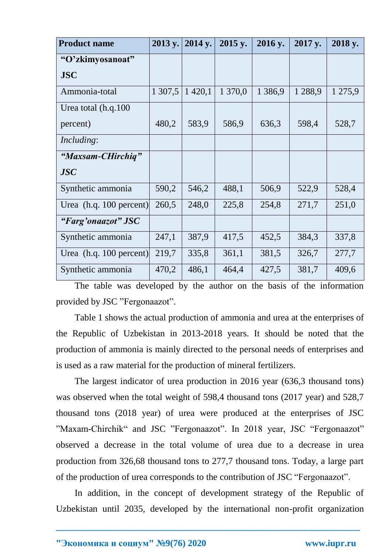| <b>Product name</b>       | 2013 y. | 2014 y.     | 2015 y. | 2016 y.    | 2017 y. | 2018 y. |
|---------------------------|---------|-------------|---------|------------|---------|---------|
| "O'zkimyosanoat"          |         |             |         |            |         |         |
| <b>JSC</b>                |         |             |         |            |         |         |
| Ammonia-total             | 1 307,5 | 1 4 2 0 , 1 | 1 370,0 | 1 3 8 6, 9 | 1 288,9 | 1 275,9 |
| Urea total (h.q.100)      |         |             |         |            |         |         |
| percent)                  | 480,2   | 583,9       | 586,9   | 636,3      | 598,4   | 528,7   |
| <i>Including:</i>         |         |             |         |            |         |         |
| "Maxsam-CHirchiq"         |         |             |         |            |         |         |
| <b>JSC</b>                |         |             |         |            |         |         |
| Synthetic ammonia         | 590,2   | 546,2       | 488,1   | 506,9      | 522,9   | 528,4   |
| Urea $(h.q. 100$ percent) | 260,5   | 248,0       | 225,8   | 254,8      | 271,7   | 251,0   |
| "Farg'onaazot" JSC        |         |             |         |            |         |         |
| Synthetic ammonia         | 247,1   | 387,9       | 417,5   | 452,5      | 384,3   | 337,8   |
| Urea $(h.q. 100$ percent) | 219,7   | 335,8       | 361,1   | 381,5      | 326,7   | 277,7   |
| Synthetic ammonia         | 470,2   | 486,1       | 464,4   | 427,5      | 381,7   | 409,6   |

The table was developed by the author on the basis of the information provided by JSC "Fergonaazot".

Table 1 shows the actual production of ammonia and urea at the enterprises of the Republic of Uzbekistan in 2013-2018 years. It should be noted that the production of ammonia is mainly directed to the personal needs of enterprises and is used as a raw material for the production of mineral fertilizers.

The largest indicator of urea production in 2016 year (636,3 thousand tons) was observed when the total weight of 598,4 thousand tons (2017 year) and 528,7 thousand tons (2018 year) of urea were produced at the enterprises of JSC "Maxam-Chirchik" and JSC "Fergonaazot". In 2018 year, JSC "Fergonaazot" observed a decrease in the total volume of urea due to a decrease in urea production from 326,68 thousand tons to 277,7 thousand tons. Today, a large part of the production of urea corresponds to the contribution of JSC "Fergonaazot".

In addition, in the concept of development strategy of the Republic of Uzbekistan until 2035, developed by the international non-profit organization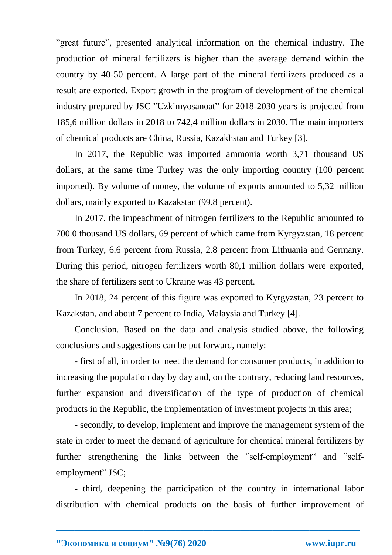"great future", presented analytical information on the chemical industry. The production of mineral fertilizers is higher than the average demand within the country by 40-50 percent. A large part of the mineral fertilizers produced as a result are exported. Export growth in the program of development of the chemical industry prepared by JSC "Uzkimyosanoat" for 2018-2030 years is projected from 185,6 million dollars in 2018 to 742,4 million dollars in 2030. The main importers of chemical products are China, Russia, Kazakhstan and Turkey [3].

In 2017, the Republic was imported ammonia worth 3,71 thousand US dollars, at the same time Turkey was the only importing country (100 percent imported). By volume of money, the volume of exports amounted to 5,32 million dollars, mainly exported to Kazakstan (99.8 percent).

In 2017, the impeachment of nitrogen fertilizers to the Republic amounted to 700.0 thousand US dollars, 69 percent of which came from Kyrgyzstan, 18 percent from Turkey, 6.6 percent from Russia, 2.8 percent from Lithuania and Germany. During this period, nitrogen fertilizers worth 80,1 million dollars were exported, the share of fertilizers sent to Ukraine was 43 percent.

In 2018, 24 percent of this figure was exported to Kyrgyzstan, 23 percent to Kazakstan, and about 7 percent to India, Malaysia and Turkey [4].

Conclusion. Based on the data and analysis studied above, the following conclusions and suggestions can be put forward, namely:

- first of all, in order to meet the demand for consumer products, in addition to increasing the population day by day and, on the contrary, reducing land resources, further expansion and diversification of the type of production of chemical products in the Republic, the implementation of investment projects in this area;

- secondly, to develop, implement and improve the management system of the state in order to meet the demand of agriculture for chemical mineral fertilizers by further strengthening the links between the "self-employment" and "selfemployment" JSC;

- third, deepening the participation of the country in international labor distribution with chemical products on the basis of further improvement of